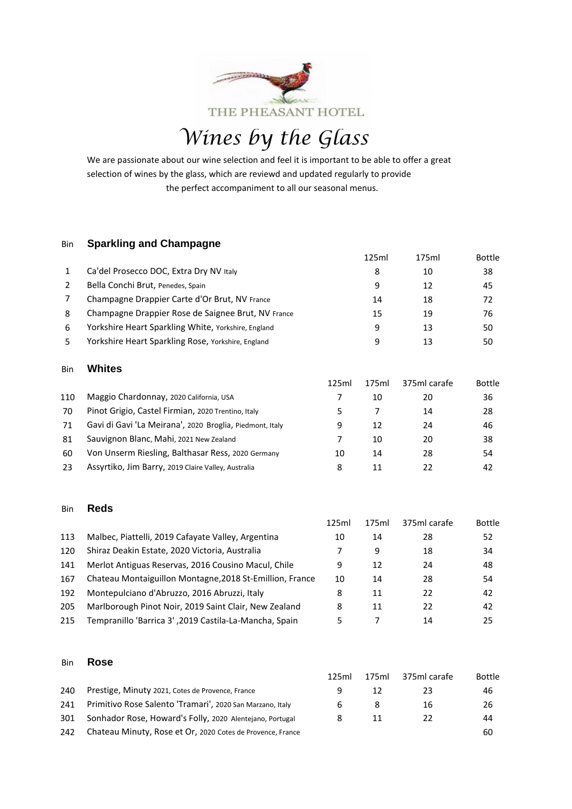

*Wines by the Glass* 

We are passionate about our wine selection and feel it is important to be able to offer a great selection of wines by the glass, which are reviewd and updated regularly to provide the perfect accompaniment to all our seasonal menus.

#### Bin **Sparkling and Champagne**

|   |                                                     | 125ml | 175ml | <b>Bottle</b> |
|---|-----------------------------------------------------|-------|-------|---------------|
|   | Ca'del Prosecco DOC, Extra Dry NV Italy             | 8     | 10    | 38            |
|   | Bella Conchi Brut, Penedes, Spain                   | 9     | 12    | 45            |
|   | Champagne Drappier Carte d'Or Brut, NV France       | 14    | 18    | 72            |
| 8 | Champagne Drappier Rose de Saignee Brut, NV France  | 15    | 19    | 76            |
| 6 | Yorkshire Heart Sparkling White, Yorkshire, England | 9     | 13    | 50            |
|   | Yorkshire Heart Sparkling Rose, Yorkshire, England  | 9     | 13    | 50            |
|   |                                                     |       |       |               |

#### Bin **Whites**

|     |                                                          | 125ml | 175ml | 375ml carafe | <b>Bottle</b> |
|-----|----------------------------------------------------------|-------|-------|--------------|---------------|
| 110 | Maggio Chardonnay, 2020 California, USA                  |       | 10    | 20           | 36            |
| 70  | Pinot Grigio, Castel Firmian, 2020 Trentino, Italy       |       |       | 14           | 28            |
| 71  | Gavi di Gavi 'La Meirana', 2020 Broglia, Piedmont, Italy | 9     | 12    | 24           | 46            |
| 81  | Sauvignon Blanc, Mahi, 2021 New Zealand                  |       | 10    | 20           | 38            |
| 60  | Von Unserm Riesling, Balthasar Ress, 2020 Germany        | 10    | 14    | 28           | 54            |
| 23  | Assyrtiko, Jim Barry, 2019 Claire Valley, Australia      | 8     | 11    | 22           | 42            |

#### Bin **Reds**

|     |                                                          | 125ml | 175ml | 375ml carafe | <b>Bottle</b> |
|-----|----------------------------------------------------------|-------|-------|--------------|---------------|
| 113 | Malbec, Piattelli, 2019 Cafayate Valley, Argentina       | 10    | 14    | 28           | 52            |
| 120 | Shiraz Deakin Estate, 2020 Victoria, Australia           |       | 9     | 18           | 34            |
| 141 | Merlot Antiguas Reservas, 2016 Cousino Macul, Chile      | 9     | 12    | 24           | 48            |
| 167 | Chateau Montaiguillon Montagne, 2018 St-Emillion, France | 10    | 14    | 28           | 54            |
| 192 | Montepulciano d'Abruzzo, 2016 Abruzzi, Italy             | 8     | 11    | 22           | 42            |
| 205 | Marlborough Pinot Noir, 2019 Saint Clair, New Zealand    | 8     | 11    | 22           | 42            |
| 215 | Tempranillo 'Barrica 3', 2019 Castila-La-Mancha, Spain   | 5     |       | 14           | 25            |
|     |                                                          |       |       |              |               |

#### Bin **Rose**

|     |                                                            | 125ml | 175ml | 375ml carafe | <b>Bottle</b> |
|-----|------------------------------------------------------------|-------|-------|--------------|---------------|
| 240 | Prestige, Minuty 2021, Cotes de Provence, France           |       | 12    | 23           | 46            |
| 241 | Primitivo Rose Salento 'Tramari', 2020 San Marzano, Italy  | 6     |       | 16           | 26            |
| 301 | Sonhador Rose, Howard's Folly, 2020 Alentejano, Portugal   |       |       | 22           | 44            |
| 242 | Chateau Minuty, Rose et Or, 2020 Cotes de Provence, France |       |       |              | 60            |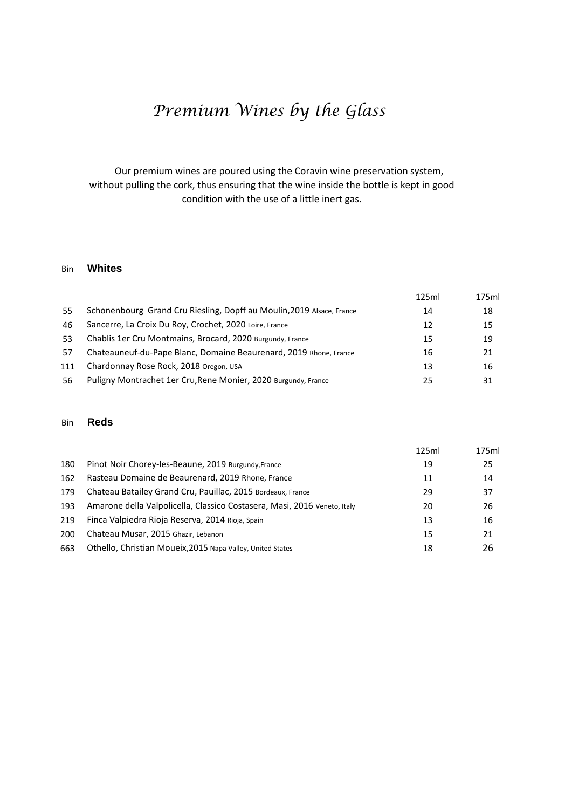# *Premium Wines by the Glass*

 Our premium wines are poured using the Coravin wine preservation system, without pulling the cork, thus ensuring that the wine inside the bottle is kept in good condition with the use of a little inert gas.

### Bin **Whites**

|     |                                                                       | 125ml | 175ml |
|-----|-----------------------------------------------------------------------|-------|-------|
| 55  | Schonenbourg Grand Cru Riesling, Dopff au Moulin, 2019 Alsace, France | 14    | 18    |
| 46  | Sancerre, La Croix Du Roy, Crochet, 2020 Loire, France                | 12    | 15    |
| 53  | Chablis 1er Cru Montmains, Brocard, 2020 Burgundy, France             | 15    | 19    |
| 57  | Chateauneuf-du-Pape Blanc, Domaine Beaurenard, 2019 Rhone, France     | 16    | 21    |
| 111 | Chardonnay Rose Rock, 2018 Oregon, USA                                | 13    | 16    |
| 56  | Puligny Montrachet 1er Cru, Rene Monier, 2020 Burgundy, France        | 25    | 31    |
|     |                                                                       |       |       |

#### Bin **Reds**

|     |                                                                          | 125ml | 175ml |
|-----|--------------------------------------------------------------------------|-------|-------|
| 180 | Pinot Noir Chorey-les-Beaune, 2019 Burgundy, France                      | 19    | 25    |
| 162 | Rasteau Domaine de Beaurenard, 2019 Rhone, France                        | 11    | 14    |
| 179 | Chateau Batailey Grand Cru, Pauillac, 2015 Bordeaux, France              | 29    | 37    |
| 193 | Amarone della Valpolicella, Classico Costasera, Masi, 2016 Veneto, Italy | 20    | 26    |
| 219 | Finca Valpiedra Rioja Reserva, 2014 Rioja, Spain                         | 13    | 16    |
| 200 | Chateau Musar, 2015 Ghazir, Lebanon                                      | 15    | 21    |
| 663 | Othello, Christian Moueix, 2015 Napa Valley, United States               | 18    | 26    |
|     |                                                                          |       |       |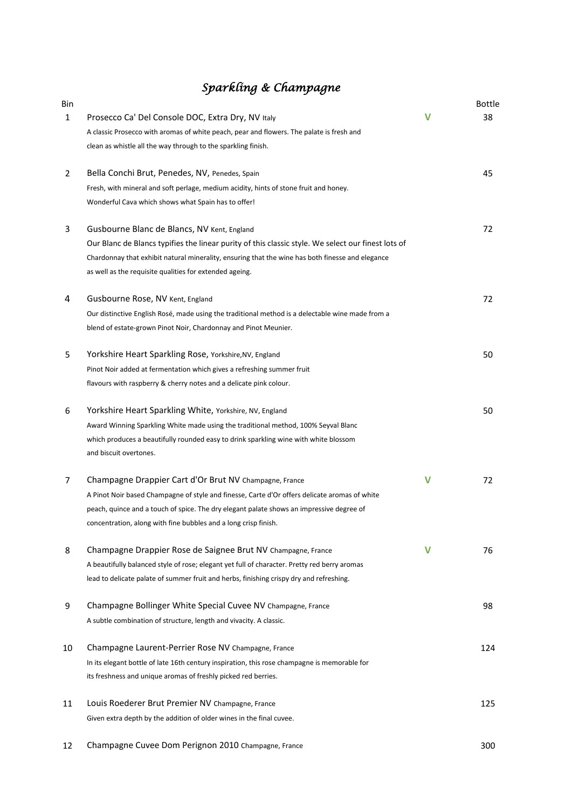## *Sparkling & Champagne*

| Bin          |                                                                                                    |             | Bottle |
|--------------|----------------------------------------------------------------------------------------------------|-------------|--------|
| $\mathbf{1}$ | Prosecco Ca' Del Console DOC, Extra Dry, NV Italy                                                  | v           | 38     |
|              | A classic Prosecco with aromas of white peach, pear and flowers. The palate is fresh and           |             |        |
|              | clean as whistle all the way through to the sparkling finish.                                      |             |        |
| 2            | Bella Conchi Brut, Penedes, NV, Penedes, Spain                                                     |             | 45     |
|              | Fresh, with mineral and soft perlage, medium acidity, hints of stone fruit and honey.              |             |        |
|              | Wonderful Cava which shows what Spain has to offer!                                                |             |        |
| 3            | Gusbourne Blanc de Blancs, NV Kent, England                                                        |             | 72     |
|              | Our Blanc de Blancs typifies the linear purity of this classic style. We select our finest lots of |             |        |
|              | Chardonnay that exhibit natural minerality, ensuring that the wine has both finesse and elegance   |             |        |
|              | as well as the requisite qualities for extended ageing.                                            |             |        |
| 4            | Gusbourne Rose, NV Kent, England                                                                   |             | 72     |
|              | Our distinctive English Rosé, made using the traditional method is a delectable wine made from a   |             |        |
|              | blend of estate-grown Pinot Noir, Chardonnay and Pinot Meunier.                                    |             |        |
| 5            | Yorkshire Heart Sparkling Rose, Yorkshire, NV, England                                             |             | 50     |
|              | Pinot Noir added at fermentation which gives a refreshing summer fruit                             |             |        |
|              | flavours with raspberry & cherry notes and a delicate pink colour.                                 |             |        |
| 6            | Yorkshire Heart Sparkling White, Yorkshire, NV, England                                            |             | 50     |
|              | Award Winning Sparkling White made using the traditional method, 100% Seyval Blanc                 |             |        |
|              | which produces a beautifully rounded easy to drink sparkling wine with white blossom               |             |        |
|              | and biscuit overtones.                                                                             |             |        |
| 7            | Champagne Drappier Cart d'Or Brut NV Champagne, France                                             | $\mathbf v$ | 72     |
|              | A Pinot Noir based Champagne of style and finesse, Carte d'Or offers delicate aromas of white      |             |        |
|              | peach, quince and a touch of spice. The dry elegant palate shows an impressive degree of           |             |        |
|              | concentration, along with fine bubbles and a long crisp finish.                                    |             |        |
| 8            | Champagne Drappier Rose de Saignee Brut NV Champagne, France                                       | v           | 76     |
|              | A beautifully balanced style of rose; elegant yet full of character. Pretty red berry aromas       |             |        |
|              | lead to delicate palate of summer fruit and herbs, finishing crispy dry and refreshing.            |             |        |
| 9            | Champagne Bollinger White Special Cuvee NV Champagne, France                                       |             | 98     |
|              | A subtle combination of structure, length and vivacity. A classic.                                 |             |        |
| 10           | Champagne Laurent-Perrier Rose NV Champagne, France                                                |             | 124    |
|              | In its elegant bottle of late 16th century inspiration, this rose champagne is memorable for       |             |        |
|              | its freshness and unique aromas of freshly picked red berries.                                     |             |        |
| 11           | Louis Roederer Brut Premier NV Champagne, France                                                   |             | 125    |
|              | Given extra depth by the addition of older wines in the final cuvee.                               |             |        |
|              |                                                                                                    |             |        |

12 Champagne Cuvee Dom Perignon 2010 Champagne, France 300 300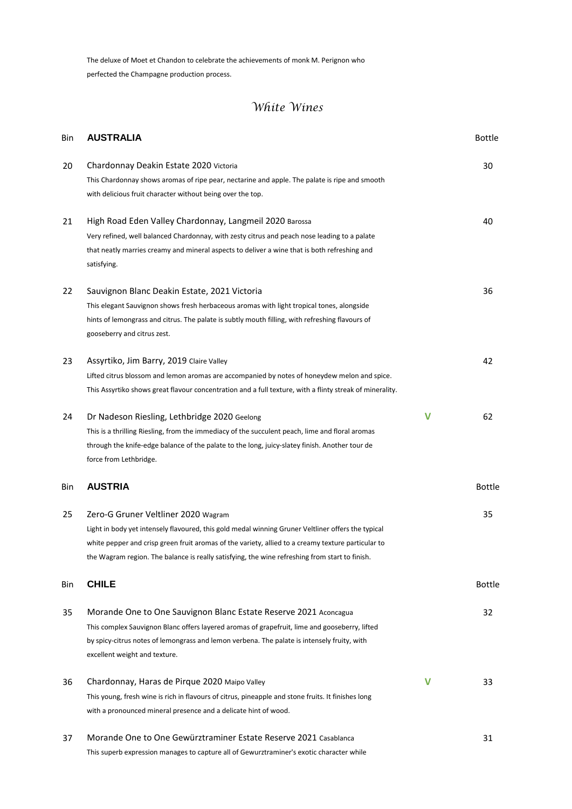The deluxe of Moet et Chandon to celebrate the achievements of monk M. Perignon who perfected the Champagne production process.

| Bin | <b>AUSTRALIA</b>                                                                                                                                                                                                                                                                                                                                  |   | <b>Bottle</b> |
|-----|---------------------------------------------------------------------------------------------------------------------------------------------------------------------------------------------------------------------------------------------------------------------------------------------------------------------------------------------------|---|---------------|
| 20  | Chardonnay Deakin Estate 2020 Victoria<br>This Chardonnay shows aromas of ripe pear, nectarine and apple. The palate is ripe and smooth<br>with delicious fruit character without being over the top.                                                                                                                                             |   | 30            |
| 21  | High Road Eden Valley Chardonnay, Langmeil 2020 Barossa<br>Very refined, well balanced Chardonnay, with zesty citrus and peach nose leading to a palate<br>that neatly marries creamy and mineral aspects to deliver a wine that is both refreshing and<br>satisfying.                                                                            |   | 40            |
| 22  | Sauvignon Blanc Deakin Estate, 2021 Victoria<br>This elegant Sauvignon shows fresh herbaceous aromas with light tropical tones, alongside<br>hints of lemongrass and citrus. The palate is subtly mouth filling, with refreshing flavours of<br>gooseberry and citrus zest.                                                                       |   | 36            |
| 23  | Assyrtiko, Jim Barry, 2019 Claire Valley<br>Lifted citrus blossom and lemon aromas are accompanied by notes of honeydew melon and spice.<br>This Assyrtiko shows great flavour concentration and a full texture, with a flinty streak of minerality.                                                                                              |   | 42            |
| 24  | Dr Nadeson Riesling, Lethbridge 2020 Geelong<br>This is a thrilling Riesling, from the immediacy of the succulent peach, lime and floral aromas<br>through the knife-edge balance of the palate to the long, juicy-slatey finish. Another tour de<br>force from Lethbridge.                                                                       | v | 62            |
| Bin | <b>AUSTRIA</b>                                                                                                                                                                                                                                                                                                                                    |   | <b>Bottle</b> |
| 25  | Zero-G Gruner Veltliner 2020 Wagram<br>Light in body yet intensely flavoured, this gold medal winning Gruner Veltliner offers the typical<br>white pepper and crisp green fruit aromas of the variety, allied to a creamy texture particular to<br>the Wagram region. The balance is really satisfying, the wine refreshing from start to finish. |   | 35            |
| Bin | <b>CHILE</b>                                                                                                                                                                                                                                                                                                                                      |   | Bottle        |
| 35  | Morande One to One Sauvignon Blanc Estate Reserve 2021 Aconcagua<br>This complex Sauvignon Blanc offers layered aromas of grapefruit, lime and gooseberry, lifted<br>by spicy-citrus notes of lemongrass and lemon verbena. The palate is intensely fruity, with<br>excellent weight and texture.                                                 |   | 32            |
| 36  | Chardonnay, Haras de Pirque 2020 Maipo Valley<br>This young, fresh wine is rich in flavours of citrus, pineapple and stone fruits. It finishes long<br>with a pronounced mineral presence and a delicate hint of wood.                                                                                                                            | v | 33            |
| 37  | Morande One to One Gewürztraminer Estate Reserve 2021 Casablanca<br>This superb expression manages to capture all of Gewurztraminer's exotic character while                                                                                                                                                                                      |   | 31            |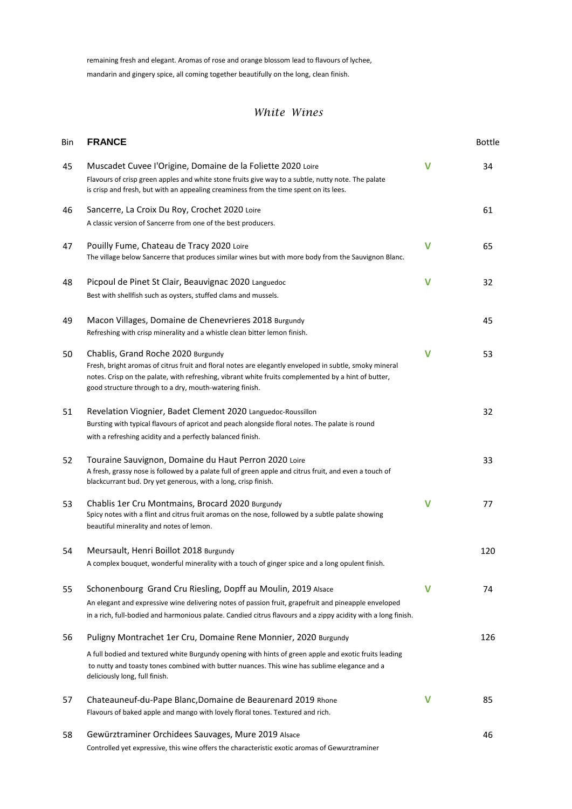remaining fresh and elegant. Aromas of rose and orange blossom lead to flavours of lychee, mandarin and gingery spice, all coming together beautifully on the long, clean finish.

| Bin | <b>FRANCE</b>                                                                                                                                                                                                                                                                                                  |             | Bottle |
|-----|----------------------------------------------------------------------------------------------------------------------------------------------------------------------------------------------------------------------------------------------------------------------------------------------------------------|-------------|--------|
| 45  | Muscadet Cuvee l'Origine, Domaine de la Foliette 2020 Loire<br>Flavours of crisp green apples and white stone fruits give way to a subtle, nutty note. The palate<br>is crisp and fresh, but with an appealing creaminess from the time spent on its lees.                                                     | V           | 34     |
| 46  | Sancerre, La Croix Du Roy, Crochet 2020 Loire<br>A classic version of Sancerre from one of the best producers.                                                                                                                                                                                                 |             | 61     |
| 47  | Pouilly Fume, Chateau de Tracy 2020 Loire<br>The village below Sancerre that produces similar wines but with more body from the Sauvignon Blanc.                                                                                                                                                               | $\mathbf v$ | 65     |
| 48  | Picpoul de Pinet St Clair, Beauvignac 2020 Languedoc<br>Best with shellfish such as oysters, stuffed clams and mussels.                                                                                                                                                                                        | V           | 32     |
| 49  | Macon Villages, Domaine de Chenevrieres 2018 Burgundy<br>Refreshing with crisp minerality and a whistle clean bitter lemon finish.                                                                                                                                                                             |             | 45     |
| 50  | Chablis, Grand Roche 2020 Burgundy<br>Fresh, bright aromas of citrus fruit and floral notes are elegantly enveloped in subtle, smoky mineral<br>notes. Crisp on the palate, with refreshing, vibrant white fruits complemented by a hint of butter,<br>good structure through to a dry, mouth-watering finish. | v           | 53     |
| 51  | Revelation Viognier, Badet Clement 2020 Languedoc-Roussillon<br>Bursting with typical flavours of apricot and peach alongside floral notes. The palate is round<br>with a refreshing acidity and a perfectly balanced finish.                                                                                  |             | 32     |
| 52  | Touraine Sauvignon, Domaine du Haut Perron 2020 Loire<br>A fresh, grassy nose is followed by a palate full of green apple and citrus fruit, and even a touch of<br>blackcurrant bud. Dry yet generous, with a long, crisp finish.                                                                              |             | 33     |
| 53  | Chablis 1er Cru Montmains, Brocard 2020 Burgundy<br>Spicy notes with a flint and citrus fruit aromas on the nose, followed by a subtle palate showing<br>beautiful minerality and notes of lemon.                                                                                                              | v           | 77     |
| 54  | Meursault, Henri Boillot 2018 Burgundy<br>A complex bouquet, wonderful minerality with a touch of ginger spice and a long opulent finish.                                                                                                                                                                      |             | 120    |
| 55  | Schonenbourg Grand Cru Riesling, Dopff au Moulin, 2019 Alsace<br>An elegant and expressive wine delivering notes of passion fruit, grapefruit and pineapple enveloped<br>in a rich, full-bodied and harmonious palate. Candied citrus flavours and a zippy acidity with a long finish.                         | v           | 74     |
| 56  | Puligny Montrachet 1er Cru, Domaine Rene Monnier, 2020 Burgundy                                                                                                                                                                                                                                                |             | 126    |
|     | A full bodied and textured white Burgundy opening with hints of green apple and exotic fruits leading<br>to nutty and toasty tones combined with butter nuances. This wine has sublime elegance and a<br>deliciously long, full finish.                                                                        |             |        |
| 57  | Chateauneuf-du-Pape Blanc, Domaine de Beaurenard 2019 Rhone<br>Flavours of baked apple and mango with lovely floral tones. Textured and rich.                                                                                                                                                                  | V           | 85     |
| 58  | Gewürztraminer Orchidees Sauvages, Mure 2019 Alsace<br>Controlled yet expressive, this wine offers the characteristic exotic aromas of Gewurztraminer                                                                                                                                                          |             | 46     |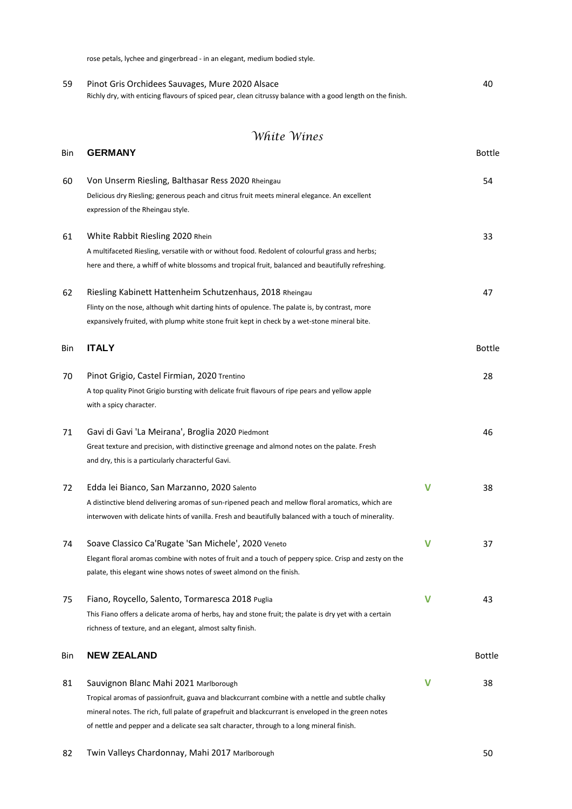rose petals, lychee and gingerbread - in an elegant, medium bodied style.

| 59 | Pinot Gris Orchidees Sauvages, Mure 2020 Alsace                                                             | 40 |
|----|-------------------------------------------------------------------------------------------------------------|----|
|    | Richly dry, with enticing flavours of spiced pear, clean citrussy balance with a good length on the finish. |    |

| Bin | <b>GERMANY</b>                                                                                                                                                                                                                                                                                                                               |              | <b>Bottle</b> |
|-----|----------------------------------------------------------------------------------------------------------------------------------------------------------------------------------------------------------------------------------------------------------------------------------------------------------------------------------------------|--------------|---------------|
| 60  | Von Unserm Riesling, Balthasar Ress 2020 Rheingau<br>Delicious dry Riesling; generous peach and citrus fruit meets mineral elegance. An excellent<br>expression of the Rheingau style.                                                                                                                                                       |              | 54            |
| 61  | White Rabbit Riesling 2020 Rhein<br>A multifaceted Riesling, versatile with or without food. Redolent of colourful grass and herbs;<br>here and there, a whiff of white blossoms and tropical fruit, balanced and beautifully refreshing.                                                                                                    |              | 33            |
| 62  | Riesling Kabinett Hattenheim Schutzenhaus, 2018 Rheingau<br>Flinty on the nose, although whit darting hints of opulence. The palate is, by contrast, more<br>expansively fruited, with plump white stone fruit kept in check by a wet-stone mineral bite.                                                                                    |              | 47            |
| Bin | <b>ITALY</b>                                                                                                                                                                                                                                                                                                                                 |              | <b>Bottle</b> |
| 70  | Pinot Grigio, Castel Firmian, 2020 Trentino<br>A top quality Pinot Grigio bursting with delicate fruit flavours of ripe pears and yellow apple<br>with a spicy character.                                                                                                                                                                    |              | 28            |
| 71  | Gavi di Gavi 'La Meirana', Broglia 2020 Piedmont<br>Great texture and precision, with distinctive greenage and almond notes on the palate. Fresh<br>and dry, this is a particularly characterful Gavi.                                                                                                                                       |              | 46            |
| 72  | Edda lei Bianco, San Marzanno, 2020 Salento<br>A distinctive blend delivering aromas of sun-ripened peach and mellow floral aromatics, which are<br>interwoven with delicate hints of vanilla. Fresh and beautifully balanced with a touch of minerality.                                                                                    | $\mathsf{V}$ | 38            |
| 74  | Soave Classico Ca'Rugate 'San Michele', 2020 Veneto<br>Elegant floral aromas combine with notes of fruit and a touch of peppery spice. Crisp and zesty on the<br>palate, this elegant wine shows notes of sweet almond on the finish.                                                                                                        | $\mathsf{V}$ | 37            |
| 75  | Fiano, Roycello, Salento, Tormaresca 2018 Puglia<br>This Fiano offers a delicate aroma of herbs, hay and stone fruit; the palate is dry yet with a certain<br>richness of texture, and an elegant, almost salty finish.                                                                                                                      | V            | 43            |
| Bin | <b>NEW ZEALAND</b>                                                                                                                                                                                                                                                                                                                           |              | <b>Bottle</b> |
| 81  | Sauvignon Blanc Mahi 2021 Marlborough<br>Tropical aromas of passionfruit, guava and blackcurrant combine with a nettle and subtle chalky<br>mineral notes. The rich, full palate of grapefruit and blackcurrant is enveloped in the green notes<br>of nettle and pepper and a delicate sea salt character, through to a long mineral finish. | v            | 38            |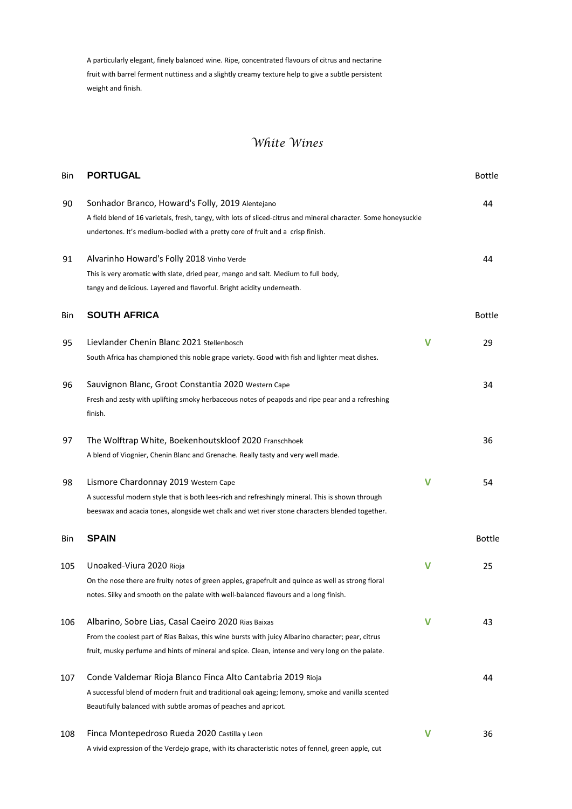A particularly elegant, finely balanced wine. Ripe, concentrated flavours of citrus and nectarine fruit with barrel ferment nuttiness and a slightly creamy texture help to give a subtle persistent weight and finish.

| Bin | <b>PORTUGAL</b>                                                                                                                                                                                                                                               |             | <b>Bottle</b> |
|-----|---------------------------------------------------------------------------------------------------------------------------------------------------------------------------------------------------------------------------------------------------------------|-------------|---------------|
| 90  | Sonhador Branco, Howard's Folly, 2019 Alentejano<br>A field blend of 16 varietals, fresh, tangy, with lots of sliced-citrus and mineral character. Some honeysuckle<br>undertones. It's medium-bodied with a pretty core of fruit and a crisp finish.         |             | 44            |
| 91  | Alvarinho Howard's Folly 2018 Vinho Verde<br>This is very aromatic with slate, dried pear, mango and salt. Medium to full body,<br>tangy and delicious. Layered and flavorful. Bright acidity underneath.                                                     |             | 44            |
| Bin | <b>SOUTH AFRICA</b>                                                                                                                                                                                                                                           |             | <b>Bottle</b> |
| 95  | Lievlander Chenin Blanc 2021 Stellenbosch<br>South Africa has championed this noble grape variety. Good with fish and lighter meat dishes.                                                                                                                    | V           | 29            |
| 96  | Sauvignon Blanc, Groot Constantia 2020 Western Cape<br>Fresh and zesty with uplifting smoky herbaceous notes of peapods and ripe pear and a refreshing<br>finish.                                                                                             |             | 34            |
| 97  | The Wolftrap White, Boekenhoutskloof 2020 Franschhoek<br>A blend of Viognier, Chenin Blanc and Grenache. Really tasty and very well made.                                                                                                                     |             | 36            |
| 98  | Lismore Chardonnay 2019 Western Cape<br>A successful modern style that is both lees-rich and refreshingly mineral. This is shown through<br>beeswax and acacia tones, alongside wet chalk and wet river stone characters blended together.                    | V           | 54            |
| Bin | <b>SPAIN</b>                                                                                                                                                                                                                                                  |             | <b>Bottle</b> |
| 105 | Unoaked-Viura 2020 Rioja<br>On the nose there are fruity notes of green apples, grapefruit and quince as well as strong floral<br>notes. Silky and smooth on the palate with well-balanced flavours and a long finish.                                        | $\mathbf v$ | 25            |
| 106 | Albarino, Sobre Lias, Casal Caeiro 2020 Rias Baixas<br>From the coolest part of Rias Baixas, this wine bursts with juicy Albarino character; pear, citrus<br>fruit, musky perfume and hints of mineral and spice. Clean, intense and very long on the palate. | v           | 43            |
| 107 | Conde Valdemar Rioja Blanco Finca Alto Cantabria 2019 Rioja<br>A successful blend of modern fruit and traditional oak ageing; lemony, smoke and vanilla scented<br>Beautifully balanced with subtle aromas of peaches and apricot.                            |             | 44            |
| 108 | Finca Montepedroso Rueda 2020 Castilla y Leon<br>A vivid expression of the Verdejo grape, with its characteristic notes of fennel, green apple, cut                                                                                                           | V           | 36            |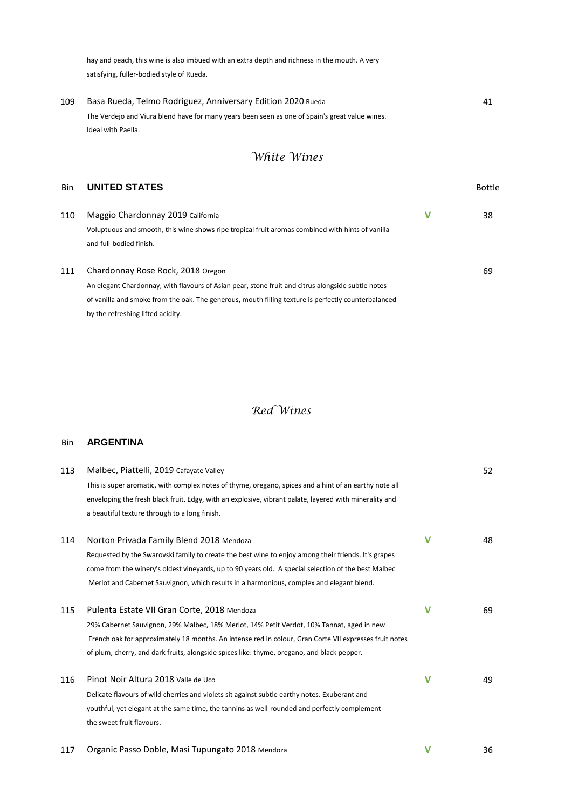hay and peach, this wine is also imbued with an extra depth and richness in the mouth. A very satisfying, fuller-bodied style of Rueda.

109 Basa Rueda, Telmo Rodriguez, Anniversary Edition 2020 Rueda 41 The Verdejo and Viura blend have for many years been seen as one of Spain's great value wines. Ideal with Paella.

## *White Wines*

#### **Bin UNITED STATES Bottle**

| 110 | Maggio Chardonnay 2019 California                                                                 | 38 |
|-----|---------------------------------------------------------------------------------------------------|----|
|     | Voluptuous and smooth, this wine shows ripe tropical fruit aromas combined with hints of vanilla  |    |
|     | and full-bodied finish.                                                                           |    |
| 111 | Chardonnay Rose Rock, 2018 Oregon                                                                 | 69 |
|     | An elegant Chardonnay, with flavours of Asian pear, stone fruit and citrus alongside subtle notes |    |

of vanilla and smoke from the oak. The generous, mouth filling texture is perfectly counterbalanced by the refreshing lifted acidity.

## *Red Wines*

#### Bin **ARGENTINA**

| 113 | Malbec, Piattelli, 2019 Cafayate Valley                                                                |   | 52 |
|-----|--------------------------------------------------------------------------------------------------------|---|----|
|     | This is super aromatic, with complex notes of thyme, oregano, spices and a hint of an earthy note all  |   |    |
|     | enveloping the fresh black fruit. Edgy, with an explosive, vibrant palate, layered with minerality and |   |    |
|     | a beautiful texture through to a long finish.                                                          |   |    |
| 114 | Norton Privada Family Blend 2018 Mendoza                                                               | V | 48 |
|     | Requested by the Swarovski family to create the best wine to enjoy among their friends. It's grapes    |   |    |
|     | come from the winery's oldest vineyards, up to 90 years old. A special selection of the best Malbec    |   |    |
|     | Merlot and Cabernet Sauvignon, which results in a harmonious, complex and elegant blend.               |   |    |
| 115 | Pulenta Estate VII Gran Corte, 2018 Mendoza                                                            | v | 69 |
|     | 29% Cabernet Sauvignon, 29% Malbec, 18% Merlot, 14% Petit Verdot, 10% Tannat, aged in new              |   |    |
|     | French oak for approximately 18 months. An intense red in colour, Gran Corte VII expresses fruit notes |   |    |
|     | of plum, cherry, and dark fruits, alongside spices like: thyme, oregano, and black pepper.             |   |    |
| 116 | Pinot Noir Altura 2018 Valle de Uco                                                                    | v | 49 |
|     | Delicate flavours of wild cherries and violets sit against subtle earthy notes. Exuberant and          |   |    |
|     | youthful, yet elegant at the same time, the tannins as well-rounded and perfectly complement           |   |    |
|     | the sweet fruit flavours.                                                                              |   |    |
|     |                                                                                                        |   |    |

#### 117 Organic Passo Doble, Masi Tupungato 2018 Mendoza **V** 36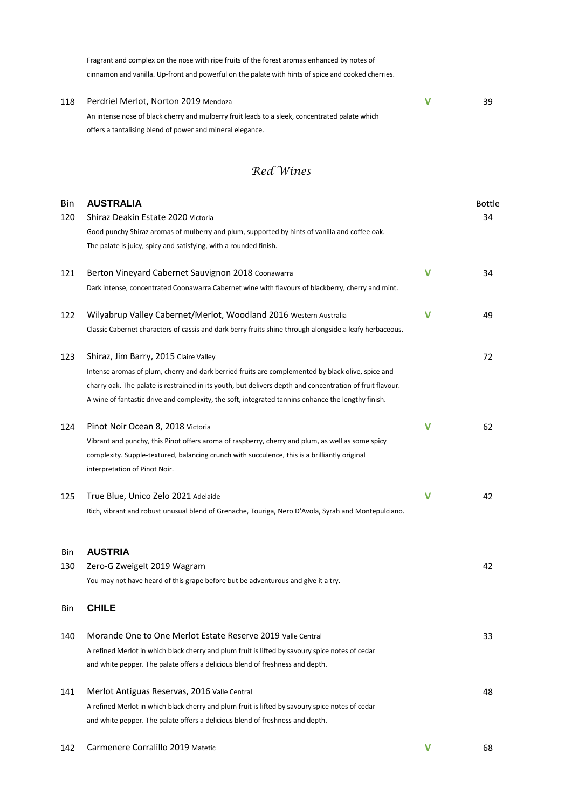Fragrant and complex on the nose with ripe fruits of the forest aromas enhanced by notes of cinnamon and vanilla. Up-front and powerful on the palate with hints of spice and cooked cherries.

| 118 | Perdriel Merlot, Norton 2019 Mendoza                                                           | 39 |
|-----|------------------------------------------------------------------------------------------------|----|
|     | An intense nose of black cherry and mulberry fruit leads to a sleek, concentrated palate which |    |
|     | offers a tantalising blend of power and mineral elegance.                                      |    |

## *Red Wines*

| Bin | <b>AUSTRALIA</b>                                                                                                 |              | Bottle |
|-----|------------------------------------------------------------------------------------------------------------------|--------------|--------|
| 120 | Shiraz Deakin Estate 2020 Victoria                                                                               |              | 34     |
|     | Good punchy Shiraz aromas of mulberry and plum, supported by hints of vanilla and coffee oak.                    |              |        |
|     | The palate is juicy, spicy and satisfying, with a rounded finish.                                                |              |        |
| 121 | Berton Vineyard Cabernet Sauvignon 2018 Coonawarra                                                               | V            | 34     |
|     | Dark intense, concentrated Coonawarra Cabernet wine with flavours of blackberry, cherry and mint.                |              |        |
| 122 | Wilyabrup Valley Cabernet/Merlot, Woodland 2016 Western Australia                                                | v            | 49     |
|     | Classic Cabernet characters of cassis and dark berry fruits shine through alongside a leafy herbaceous.          |              |        |
| 123 | Shiraz, Jim Barry, 2015 Claire Valley                                                                            |              | 72     |
|     | Intense aromas of plum, cherry and dark berried fruits are complemented by black olive, spice and                |              |        |
|     | charry oak. The palate is restrained in its youth, but delivers depth and concentration of fruit flavour.        |              |        |
|     | A wine of fantastic drive and complexity, the soft, integrated tannins enhance the lengthy finish.               |              |        |
| 124 | Pinot Noir Ocean 8, 2018 Victoria                                                                                | v            | 62     |
|     | Vibrant and punchy, this Pinot offers aroma of raspberry, cherry and plum, as well as some spicy                 |              |        |
|     | complexity. Supple-textured, balancing crunch with succulence, this is a brilliantly original                    |              |        |
|     | interpretation of Pinot Noir.                                                                                    |              |        |
| 125 | True Blue, Unico Zelo 2021 Adelaide                                                                              | $\mathsf{V}$ | 42     |
|     | Rich, vibrant and robust unusual blend of Grenache, Touriga, Nero D'Avola, Syrah and Montepulciano.              |              |        |
|     |                                                                                                                  |              |        |
| Bin | <b>AUSTRIA</b>                                                                                                   |              | 42     |
| 130 | Zero-G Zweigelt 2019 Wagram<br>You may not have heard of this grape before but be adventurous and give it a try. |              |        |
|     |                                                                                                                  |              |        |
| Bin | <b>CHILE</b>                                                                                                     |              |        |
| 140 | Morande One to One Merlot Estate Reserve 2019 Valle Central                                                      |              | 33     |
|     | A refined Merlot in which black cherry and plum fruit is lifted by savoury spice notes of cedar                  |              |        |
|     | and white pepper. The palate offers a delicious blend of freshness and depth.                                    |              |        |
| 141 | Merlot Antiguas Reservas, 2016 Valle Central                                                                     |              | 48     |
|     | A refined Merlot in which black cherry and plum fruit is lifted by savoury spice notes of cedar                  |              |        |
|     | and white pepper. The palate offers a delicious blend of freshness and depth.                                    |              |        |
|     |                                                                                                                  |              |        |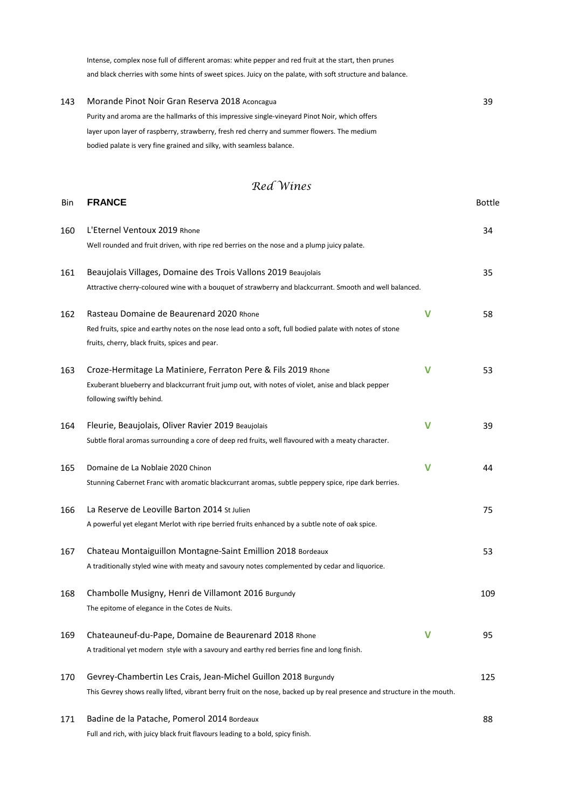Intense, complex nose full of different aromas: white pepper and red fruit at the start, then prunes and black cherries with some hints of sweet spices. Juicy on the palate, with soft structure and balance.

| 143 | Morande Pinot Noir Gran Reserva 2018 Aconcagua                                                 | 39 |
|-----|------------------------------------------------------------------------------------------------|----|
|     | Purity and aroma are the hallmarks of this impressive single-vineyard Pinot Noir, which offers |    |
|     | layer upon layer of raspberry, strawberry, fresh red cherry and summer flowers. The medium     |    |
|     | bodied palate is very fine grained and silky, with seamless balance.                           |    |

## *Red Wines*

| Bin | <b>FRANCE</b>                                                                                                                  |              | Bottle |
|-----|--------------------------------------------------------------------------------------------------------------------------------|--------------|--------|
| 160 | L'Eternel Ventoux 2019 Rhone                                                                                                   |              | 34     |
|     | Well rounded and fruit driven, with ripe red berries on the nose and a plump juicy palate.                                     |              |        |
| 161 | Beaujolais Villages, Domaine des Trois Vallons 2019 Beaujolais                                                                 |              | 35     |
|     | Attractive cherry-coloured wine with a bouquet of strawberry and blackcurrant. Smooth and well balanced.                       |              |        |
| 162 | Rasteau Domaine de Beaurenard 2020 Rhone                                                                                       | $\mathsf{V}$ | 58     |
|     | Red fruits, spice and earthy notes on the nose lead onto a soft, full bodied palate with notes of stone                        |              |        |
|     | fruits, cherry, black fruits, spices and pear.                                                                                 |              |        |
| 163 | Croze-Hermitage La Matiniere, Ferraton Pere & Fils 2019 Rhone                                                                  | v            | 53     |
|     | Exuberant blueberry and blackcurrant fruit jump out, with notes of violet, anise and black pepper<br>following swiftly behind. |              |        |
| 164 | Fleurie, Beaujolais, Oliver Ravier 2019 Beaujolais                                                                             | V            | 39     |
|     | Subtle floral aromas surrounding a core of deep red fruits, well flavoured with a meaty character.                             |              |        |
| 165 | Domaine de La Noblaie 2020 Chinon                                                                                              | V            | 44     |
|     | Stunning Cabernet Franc with aromatic blackcurrant aromas, subtle peppery spice, ripe dark berries.                            |              |        |
| 166 | La Reserve de Leoville Barton 2014 St Julien                                                                                   |              | 75     |
|     | A powerful yet elegant Merlot with ripe berried fruits enhanced by a subtle note of oak spice.                                 |              |        |
| 167 | Chateau Montaiguillon Montagne-Saint Emillion 2018 Bordeaux                                                                    |              | 53     |
|     | A traditionally styled wine with meaty and savoury notes complemented by cedar and liquorice.                                  |              |        |
| 168 | Chambolle Musigny, Henri de Villamont 2016 Burgundy                                                                            |              | 109    |
|     | The epitome of elegance in the Cotes de Nuits.                                                                                 |              |        |
| 169 | Chateauneuf-du-Pape, Domaine de Beaurenard 2018 Rhone                                                                          | v            | 95     |
|     | A traditional yet modern style with a savoury and earthy red berries fine and long finish.                                     |              |        |
| 170 | Gevrey-Chambertin Les Crais, Jean-Michel Guillon 2018 Burgundy                                                                 |              | 125    |
|     | This Gevrey shows really lifted, vibrant berry fruit on the nose, backed up by real presence and structure in the mouth.       |              |        |
| 171 | Badine de la Patache, Pomerol 2014 Bordeaux                                                                                    |              | 88     |
|     | Full and rich, with juicy black fruit flavours leading to a bold, spicy finish.                                                |              |        |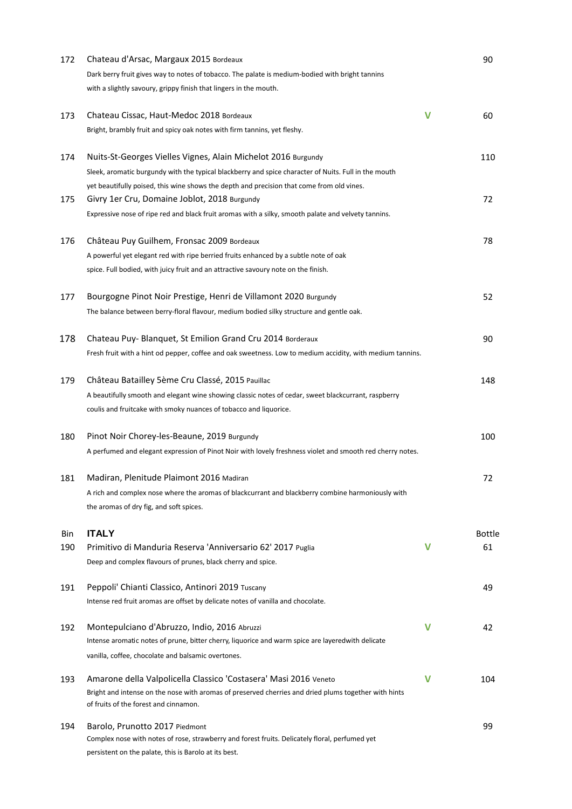| 172 | Chateau d'Arsac, Margaux 2015 Bordeaux                                                                                                        |   | 90     |
|-----|-----------------------------------------------------------------------------------------------------------------------------------------------|---|--------|
|     | Dark berry fruit gives way to notes of tobacco. The palate is medium-bodied with bright tannins                                               |   |        |
|     | with a slightly savoury, grippy finish that lingers in the mouth.                                                                             |   |        |
| 173 | Chateau Cissac, Haut-Medoc 2018 Bordeaux                                                                                                      | V | 60     |
|     | Bright, brambly fruit and spicy oak notes with firm tannins, yet fleshy.                                                                      |   |        |
| 174 | Nuits-St-Georges Vielles Vignes, Alain Michelot 2016 Burgundy                                                                                 |   | 110    |
|     | Sleek, aromatic burgundy with the typical blackberry and spice character of Nuits. Full in the mouth                                          |   |        |
|     | yet beautifully poised, this wine shows the depth and precision that come from old vines.                                                     |   |        |
| 175 | Givry 1er Cru, Domaine Joblot, 2018 Burgundy                                                                                                  |   | 72     |
|     | Expressive nose of ripe red and black fruit aromas with a silky, smooth palate and velvety tannins.                                           |   |        |
| 176 | Château Puy Guilhem, Fronsac 2009 Bordeaux                                                                                                    |   | 78     |
|     | A powerful yet elegant red with ripe berried fruits enhanced by a subtle note of oak                                                          |   |        |
|     | spice. Full bodied, with juicy fruit and an attractive savoury note on the finish.                                                            |   |        |
| 177 | Bourgogne Pinot Noir Prestige, Henri de Villamont 2020 Burgundy                                                                               |   | 52     |
|     | The balance between berry-floral flavour, medium bodied silky structure and gentle oak.                                                       |   |        |
| 178 | Chateau Puy- Blanquet, St Emilion Grand Cru 2014 Borderaux                                                                                    |   | 90     |
|     | Fresh fruit with a hint od pepper, coffee and oak sweetness. Low to medium accidity, with medium tannins.                                     |   |        |
| 179 | Château Batailley 5ème Cru Classé, 2015 Pauillac                                                                                              |   | 148    |
|     | A beautifully smooth and elegant wine showing classic notes of cedar, sweet blackcurrant, raspberry                                           |   |        |
|     | coulis and fruitcake with smoky nuances of tobacco and liquorice.                                                                             |   |        |
| 180 | Pinot Noir Chorey-les-Beaune, 2019 Burgundy                                                                                                   |   | 100    |
|     | A perfumed and elegant expression of Pinot Noir with lovely freshness violet and smooth red cherry notes.                                     |   |        |
| 181 | Madiran, Plenitude Plaimont 2016 Madiran                                                                                                      |   | 72     |
|     | A rich and complex nose where the aromas of blackcurrant and blackberry combine harmoniously with                                             |   |        |
|     | the aromas of dry fig, and soft spices.                                                                                                       |   |        |
| Bin | <b>ITALY</b>                                                                                                                                  |   | Bottle |
| 190 | Primitivo di Manduria Reserva 'Anniversario 62' 2017 Puglia                                                                                   | V | 61     |
|     | Deep and complex flavours of prunes, black cherry and spice.                                                                                  |   |        |
| 191 | Peppoli' Chianti Classico, Antinori 2019 Tuscany                                                                                              |   | 49     |
|     | Intense red fruit aromas are offset by delicate notes of vanilla and chocolate.                                                               |   |        |
| 192 | Montepulciano d'Abruzzo, Indio, 2016 Abruzzi                                                                                                  | v | 42     |
|     | Intense aromatic notes of prune, bitter cherry, liquorice and warm spice are layeredwith delicate                                             |   |        |
|     | vanilla, coffee, chocolate and balsamic overtones.                                                                                            |   |        |
| 193 | Amarone della Valpolicella Classico 'Costasera' Masi 2016 Veneto                                                                              | V | 104    |
|     | Bright and intense on the nose with aromas of preserved cherries and dried plums together with hints<br>of fruits of the forest and cinnamon. |   |        |
| 194 | Barolo, Prunotto 2017 Piedmont                                                                                                                |   | 99     |
|     | Complex nose with notes of rose, strawberry and forest fruits. Delicately floral, perfumed yet                                                |   |        |
|     | persistent on the palate, this is Barolo at its best.                                                                                         |   |        |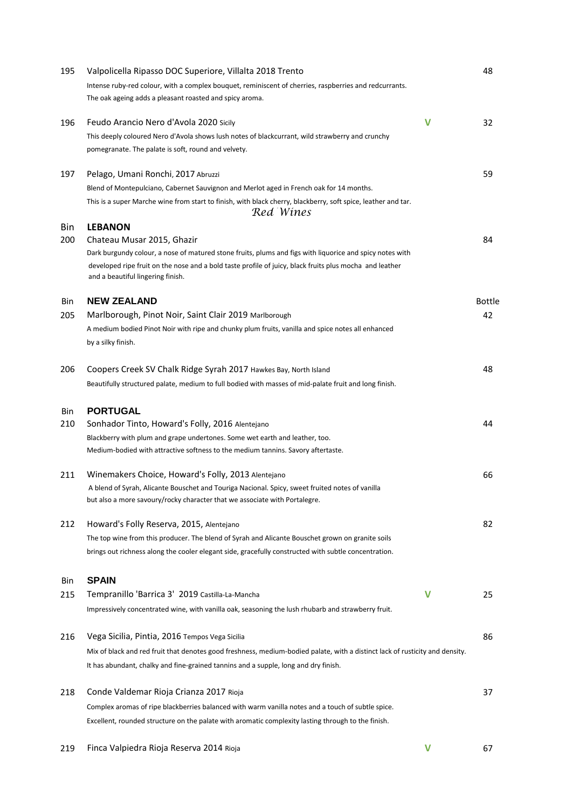| 195 | Valpolicella Ripasso DOC Superiore, Villalta 2018 Trento                                                                                                                                                                                                 | 48            |
|-----|----------------------------------------------------------------------------------------------------------------------------------------------------------------------------------------------------------------------------------------------------------|---------------|
|     | Intense ruby-red colour, with a complex bouquet, reminiscent of cherries, raspberries and redcurrants.<br>The oak ageing adds a pleasant roasted and spicy aroma.                                                                                        |               |
| 196 | $\mathbf v$<br>Feudo Arancio Nero d'Avola 2020 Sicily                                                                                                                                                                                                    | 32            |
|     | This deeply coloured Nero d'Avola shows lush notes of blackcurrant, wild strawberry and crunchy<br>pomegranate. The palate is soft, round and velvety.                                                                                                   |               |
| 197 | Pelago, Umani Ronchi, 2017 Abruzzi                                                                                                                                                                                                                       | 59            |
|     | Blend of Montepulciano, Cabernet Sauvignon and Merlot aged in French oak for 14 months.<br>This is a super Marche wine from start to finish, with black cherry, blackberry, soft spice, leather and tar.<br>Red Wines                                    |               |
| Bin | <b>LEBANON</b>                                                                                                                                                                                                                                           |               |
| 200 | Chateau Musar 2015, Ghazir                                                                                                                                                                                                                               | 84            |
|     | Dark burgundy colour, a nose of matured stone fruits, plums and figs with liquorice and spicy notes with<br>developed ripe fruit on the nose and a bold taste profile of juicy, black fruits plus mocha and leather<br>and a beautiful lingering finish. |               |
| Bin | <b>NEW ZEALAND</b>                                                                                                                                                                                                                                       | <b>Bottle</b> |
| 205 | Marlborough, Pinot Noir, Saint Clair 2019 Marlborough                                                                                                                                                                                                    | 42            |
|     | A medium bodied Pinot Noir with ripe and chunky plum fruits, vanilla and spice notes all enhanced<br>by a silky finish.                                                                                                                                  |               |
| 206 | Coopers Creek SV Chalk Ridge Syrah 2017 Hawkes Bay, North Island                                                                                                                                                                                         | 48            |
|     | Beautifully structured palate, medium to full bodied with masses of mid-palate fruit and long finish.                                                                                                                                                    |               |
| Bin | <b>PORTUGAL</b>                                                                                                                                                                                                                                          |               |
| 210 | Sonhador Tinto, Howard's Folly, 2016 Alentejano                                                                                                                                                                                                          | 44            |
|     | Blackberry with plum and grape undertones. Some wet earth and leather, too.<br>Medium-bodied with attractive softness to the medium tannins. Savory aftertaste.                                                                                          |               |
| 211 | Winemakers Choice, Howard's Folly, 2013 Alentejano                                                                                                                                                                                                       | 66            |
|     | A blend of Syrah, Alicante Bouschet and Touriga Nacional. Spicy, sweet fruited notes of vanilla<br>but also a more savoury/rocky character that we associate with Portalegre.                                                                            |               |
| 212 | Howard's Folly Reserva, 2015, Alentejano                                                                                                                                                                                                                 | 82            |
|     | The top wine from this producer. The blend of Syrah and Alicante Bouschet grown on granite soils                                                                                                                                                         |               |
|     | brings out richness along the cooler elegant side, gracefully constructed with subtle concentration.                                                                                                                                                     |               |
| Bin | <b>SPAIN</b>                                                                                                                                                                                                                                             |               |
| 215 | Tempranillo 'Barrica 3' 2019 Castilla-La-Mancha<br>V                                                                                                                                                                                                     | 25            |
|     | Impressively concentrated wine, with vanilla oak, seasoning the lush rhubarb and strawberry fruit.                                                                                                                                                       |               |
| 216 | Vega Sicilia, Pintia, 2016 Tempos Vega Sicilia                                                                                                                                                                                                           | 86            |
|     | Mix of black and red fruit that denotes good freshness, medium-bodied palate, with a distinct lack of rusticity and density.                                                                                                                             |               |
|     | It has abundant, chalky and fine-grained tannins and a supple, long and dry finish.                                                                                                                                                                      |               |
| 218 | Conde Valdemar Rioja Crianza 2017 Rioja                                                                                                                                                                                                                  | 37            |
|     | Complex aromas of ripe blackberries balanced with warm vanilla notes and a touch of subtle spice.                                                                                                                                                        |               |
|     | Excellent, rounded structure on the palate with aromatic complexity lasting through to the finish.                                                                                                                                                       |               |
|     |                                                                                                                                                                                                                                                          |               |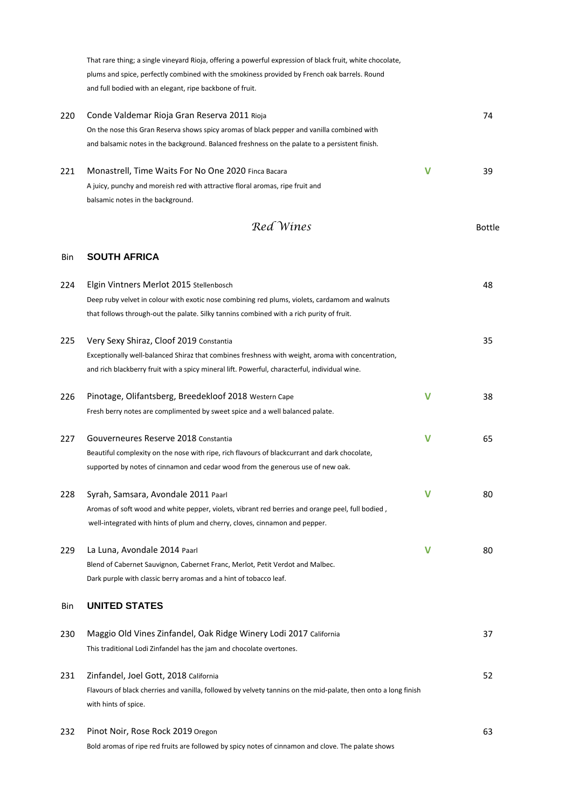That rare thing; a single vineyard Rioja, offering a powerful expression of black fruit, white chocolate, plums and spice, perfectly combined with the smokiness provided by French oak barrels. Round and full bodied with an elegant, ripe backbone of fruit.

| 220 | Conde Valdemar Rioja Gran Reserva 2011 Rioja                                                   |   |    |  |  |
|-----|------------------------------------------------------------------------------------------------|---|----|--|--|
|     | On the nose this Gran Reserva shows spicy aromas of black pepper and vanilla combined with     |   |    |  |  |
|     | and balsamic notes in the background. Balanced freshness on the palate to a persistent finish. |   |    |  |  |
| 221 | Monastrell, Time Waits For No One 2020 Finca Bacara                                            | v | 39 |  |  |
|     | A juicy, punchy and moreish red with attractive floral aromas, ripe fruit and                  |   |    |  |  |
|     | balsamic notes in the background.                                                              |   |    |  |  |

*Red Wines* Bottle

#### Bin **SOUTH AFRICA**

| 224 | Elgin Vintners Merlot 2015 Stellenbosch                                                                        |   | 48 |
|-----|----------------------------------------------------------------------------------------------------------------|---|----|
|     | Deep ruby velvet in colour with exotic nose combining red plums, violets, cardamom and walnuts                 |   |    |
|     | that follows through-out the palate. Silky tannins combined with a rich purity of fruit.                       |   |    |
| 225 | Very Sexy Shiraz, Cloof 2019 Constantia                                                                        |   | 35 |
|     | Exceptionally well-balanced Shiraz that combines freshness with weight, aroma with concentration,              |   |    |
|     | and rich blackberry fruit with a spicy mineral lift. Powerful, characterful, individual wine.                  |   |    |
| 226 | Pinotage, Olifantsberg, Breedekloof 2018 Western Cape                                                          | V | 38 |
|     | Fresh berry notes are complimented by sweet spice and a well balanced palate.                                  |   |    |
| 227 | Gouverneures Reserve 2018 Constantia                                                                           | v | 65 |
|     | Beautiful complexity on the nose with ripe, rich flavours of blackcurrant and dark chocolate,                  |   |    |
|     | supported by notes of cinnamon and cedar wood from the generous use of new oak.                                |   |    |
| 228 | Syrah, Samsara, Avondale 2011 Paarl                                                                            | V | 80 |
|     | Aromas of soft wood and white pepper, violets, vibrant red berries and orange peel, full bodied,               |   |    |
|     | well-integrated with hints of plum and cherry, cloves, cinnamon and pepper.                                    |   |    |
| 229 | La Luna, Avondale 2014 Paarl                                                                                   | V | 80 |
|     | Blend of Cabernet Sauvignon, Cabernet Franc, Merlot, Petit Verdot and Malbec.                                  |   |    |
|     | Dark purple with classic berry aromas and a hint of tobacco leaf.                                              |   |    |
| Bin | <b>UNITED STATES</b>                                                                                           |   |    |
| 230 | Maggio Old Vines Zinfandel, Oak Ridge Winery Lodi 2017 California                                              |   | 37 |
|     | This traditional Lodi Zinfandel has the jam and chocolate overtones.                                           |   |    |
| 231 | Zinfandel, Joel Gott, 2018 California                                                                          |   | 52 |
|     | Flavours of black cherries and vanilla, followed by velvety tannins on the mid-palate, then onto a long finish |   |    |
|     | with hints of spice.                                                                                           |   |    |
| 232 | Pinot Noir, Rose Rock 2019 Oregon                                                                              |   | 63 |
|     | Bold aromas of ripe red fruits are followed by spicy notes of cinnamon and clove. The palate shows             |   |    |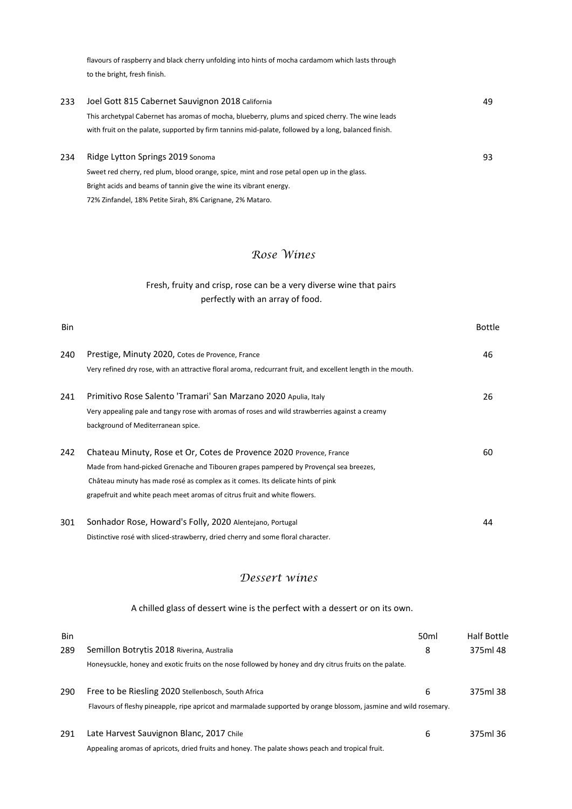flavours of raspberry and black cherry unfolding into hints of mocha cardamom which lasts through to the bright, fresh finish.

| 233 | Joel Gott 815 Cabernet Sauvignon 2018 California                                                     | 49 |
|-----|------------------------------------------------------------------------------------------------------|----|
|     | This archetypal Cabernet has aromas of mocha, blueberry, plums and spiced cherry. The wine leads     |    |
|     | with fruit on the palate, supported by firm tannins mid-palate, followed by a long, balanced finish. |    |
| 234 | Ridge Lytton Springs 2019 Sonoma                                                                     | 93 |

Sweet red cherry, red plum, blood orange, spice, mint and rose petal open up in the glass. Bright acids and beams of tannin give the wine its vibrant energy. 72% Zinfandel, 18% Petite Sirah, 8% Carignane, 2% Mataro.

## *Rose Wines*

### perfectly with an array of food. Fresh, fruity and crisp, rose can be a very diverse wine that pairs

| <b>Bin</b> |                                                                                                              | Bottle |
|------------|--------------------------------------------------------------------------------------------------------------|--------|
| 240        | Prestige, Minuty 2020, Cotes de Provence, France                                                             | 46     |
|            | Very refined dry rose, with an attractive floral aroma, redcurrant fruit, and excellent length in the mouth. |        |
| 241        | Primitivo Rose Salento 'Tramari' San Marzano 2020 Apulia, Italy                                              | 26     |
|            | Very appealing pale and tangy rose with aromas of roses and wild strawberries against a creamy               |        |
|            | background of Mediterranean spice.                                                                           |        |
| 242        | Chateau Minuty, Rose et Or, Cotes de Provence 2020 Provence, France                                          | 60     |
|            | Made from hand-picked Grenache and Tibouren grapes pampered by Provençal sea breezes,                        |        |
|            | Château minuty has made rosé as complex as it comes. Its delicate hints of pink                              |        |
|            | grapefruit and white peach meet aromas of citrus fruit and white flowers.                                    |        |
| 301        | Sonhador Rose, Howard's Folly, 2020 Alentejano, Portugal                                                     | 44     |
|            | Distinctive rosé with sliced-strawberry, dried cherry and some floral character.                             |        |

## *Dessert wines*

#### A chilled glass of dessert wine is the perfect with a dessert or on its own.

| Bin |                                                                                                                  | 50 <sub>ml</sub> | <b>Half Bottle</b> |
|-----|------------------------------------------------------------------------------------------------------------------|------------------|--------------------|
| 289 | Semillon Botrytis 2018 Riverina, Australia                                                                       | 8                | 375ml 48           |
|     | Honeysuckle, honey and exotic fruits on the nose followed by honey and dry citrus fruits on the palate.          |                  |                    |
| 290 | Free to be Riesling 2020 Stellenbosch, South Africa                                                              | 6                | 375ml 38           |
|     | Flavours of fleshy pineapple, ripe apricot and marmalade supported by orange blossom, jasmine and wild rosemary. |                  |                    |
| 291 | Late Harvest Sauvignon Blanc, 2017 Chile                                                                         | 6                | 375ml 36           |
|     | Appealing aromas of apricots, dried fruits and honey. The palate shows peach and tropical fruit.                 |                  |                    |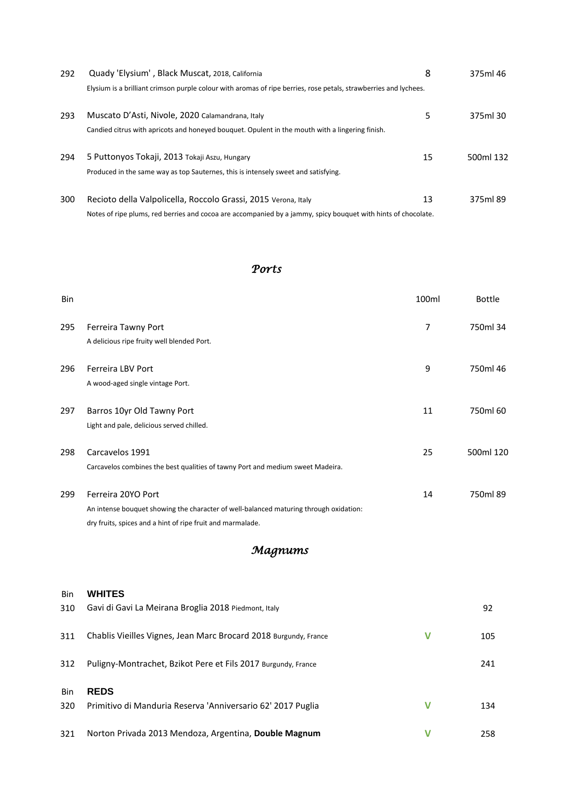| 292 | Quady 'Elysium', Black Muscat, 2018, California                                                                                                                                 | 8  | 375ml 46  |
|-----|---------------------------------------------------------------------------------------------------------------------------------------------------------------------------------|----|-----------|
|     | Elysium is a brilliant crimson purple colour with aromas of ripe berries, rose petals, strawberries and lychees.                                                                |    |           |
| 293 | Muscato D'Asti, Nivole, 2020 Calamandrana, Italy<br>Candied citrus with apricots and honeyed bouquet. Opulent in the mouth with a lingering finish.                             | 5. | 375ml 30  |
| 294 | 5 Puttonyos Tokaji, 2013 Tokaji Aszu, Hungary<br>Produced in the same way as top Sauternes, this is intensely sweet and satisfying.                                             | 15 | 500ml 132 |
| 300 | Recioto della Valpolicella, Roccolo Grassi, 2015 Verona, Italy<br>Notes of ripe plums, red berries and cocoa are accompanied by a jammy, spicy bouguet with hints of chocolate. | 13 | 375ml 89  |

## *Ports*

| Bin |                                                                                       | 100ml | <b>Bottle</b> |
|-----|---------------------------------------------------------------------------------------|-------|---------------|
| 295 | Ferreira Tawny Port                                                                   | 7     | 750ml 34      |
|     | A delicious ripe fruity well blended Port.                                            |       |               |
| 296 | <b>Ferreira LBV Port</b>                                                              | 9     | 750ml 46      |
|     | A wood-aged single vintage Port.                                                      |       |               |
| 297 | Barros 10yr Old Tawny Port                                                            | 11    | 750ml 60      |
|     | Light and pale, delicious served chilled.                                             |       |               |
| 298 | Carcavelos 1991                                                                       | 25    | 500ml 120     |
|     | Carcavelos combines the best qualities of tawny Port and medium sweet Madeira.        |       |               |
| 299 | Ferreira 20YO Port                                                                    | 14    | 750ml 89      |
|     | An intense bouquet showing the character of well-balanced maturing through oxidation: |       |               |
|     | dry fruits, spices and a hint of ripe fruit and marmalade.                            |       |               |

## *Magnums*

| Bin | <b>WHITES</b>                                                    |   |     |
|-----|------------------------------------------------------------------|---|-----|
| 310 | Gavi di Gavi La Meirana Broglia 2018 Piedmont, Italy             |   | 92  |
| 311 | Chablis Vieilles Vignes, Jean Marc Brocard 2018 Burgundy, France | V | 105 |
| 312 | Puligny-Montrachet, Bzikot Pere et Fils 2017 Burgundy, France    |   | 241 |
| Bin | <b>REDS</b>                                                      |   |     |
| 320 | Primitivo di Manduria Reserva 'Anniversario 62' 2017 Puglia      | v | 134 |
| 321 | Norton Privada 2013 Mendoza, Argentina, Double Magnum            |   | 258 |